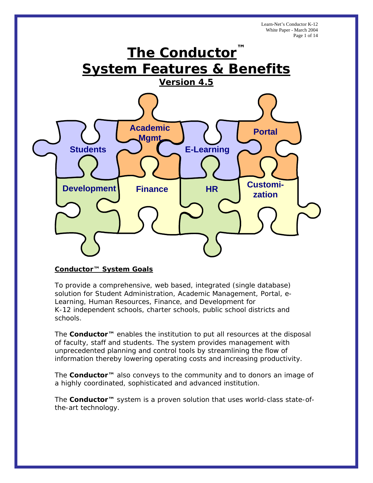Learn-Net's Conductor K-12 White Paper - March 2004 Page 1 of 14



## **Conductor™ System Goals**

To provide a comprehensive, web based, integrated (single database) solution for Student Administration, Academic Management, Portal, e-Learning, Human Resources, Finance, and Development for K-12 independent schools, charter schools, public school districts and schools.

The **Conductor™** enables the institution to put all resources at the disposal of faculty, staff and students. The system provides management with unprecedented planning and control tools by streamlining the flow of information thereby lowering operating costs and increasing productivity.

The **Conductor™** also conveys to the community and to donors an image of a highly coordinated, sophisticated and advanced institution.

The **Conductor™** system is a proven solution that uses world-class state-ofthe-art technology.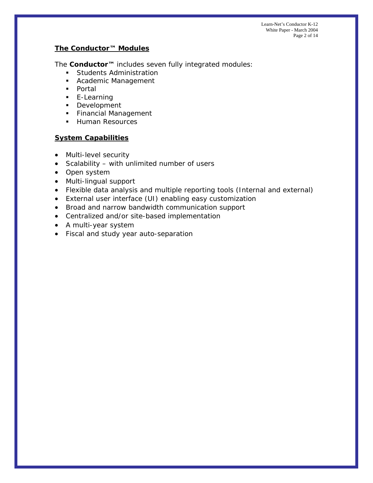# **The Conductor™ Modules**

The **Conductor™** includes seven fully integrated modules:

- **Students Administration**
- **Academic Management**
- Portal
- **E-Learning**
- **Development**
- **Financial Management**
- **Human Resources**

# **System Capabilities**

- Multi-level security
- Scalability with unlimited number of users
- Open system
- Multi-lingual support
- Flexible data analysis and multiple reporting tools (Internal and external)
- External user interface (UI) enabling easy customization
- Broad and narrow bandwidth communication support
- Centralized and/or site-based implementation
- A multi-year system
- Fiscal and study year auto-separation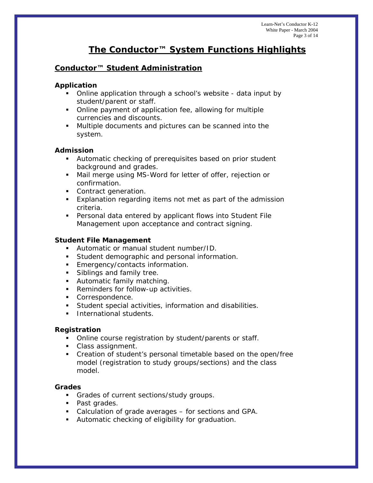# **The Conductor™ System Functions Highlights**

# **Conductor™ Student Administration**

# **Application**

- Online application through a school's website data input by student/parent or staff.
- Online payment of application fee, allowing for multiple currencies and discounts.
- Multiple documents and pictures can be scanned into the system.

# **Admission**

- Automatic checking of prerequisites based on prior student background and grades.
- Mail merge using MS-Word for letter of offer, rejection or confirmation.
- **Contract generation.**
- Explanation regarding items not met as part of the admission criteria.
- Personal data entered by applicant flows into Student File Management upon acceptance and contract signing.

# **Student File Management**

- Automatic or manual student number/ID.
- **Student demographic and personal information.**
- **Emergency/contacts information.**
- **Siblings and family tree.**
- Automatic family matching.
- **Reminders for follow-up activities.**
- **Correspondence.**
- Student special activities, information and disabilities.
- **International students.**

# **Registration**

- Online course registration by student/parents or staff.
- Class assignment.
- Creation of student's personal timetable based on the open/free model (registration to study groups/sections) and the class model.

# **Grades**

- Grades of current sections/study groups.
- Past grades.
- Calculation of grade averages for sections and GPA.
- **Automatic checking of eligibility for graduation.**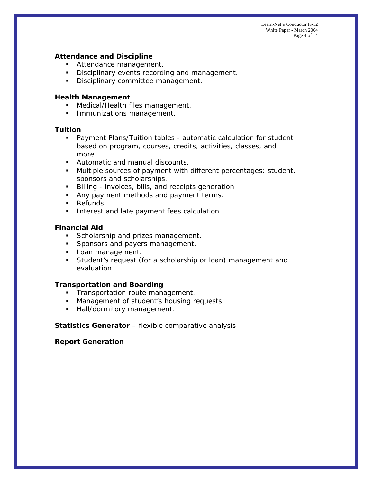Learn-Net's Conductor K-12 White Paper - March 2004 Page 4 of 14

#### **Attendance and Discipline**

- **Attendance management.**
- Disciplinary events recording and management.
- **Disciplinary committee management.**

#### **Health Management**

- **Medical/Health files management.**
- **Immunizations management.**

#### **Tuition**

- Payment Plans/Tuition tables automatic calculation for student based on program, courses, credits, activities, classes, and more.
- **Automatic and manual discounts.**
- Multiple sources of payment with different percentages: student, sponsors and scholarships.
- Billing invoices, bills, and receipts generation
- Any payment methods and payment terms.
- **Refunds.**
- **Interest and late payment fees calculation.**

## **Financial Aid**

- Scholarship and prizes management.
- **Sponsors and payers management.**
- **Loan management.**
- **Student's request (for a scholarship or loan) management and** evaluation.

#### **Transportation and Boarding**

- **Transportation route management.**
- **Management of student's housing requests.**
- **Hall/dormitory management.**

#### **Statistics Generator** – flexible comparative analysis

## **Report Generation**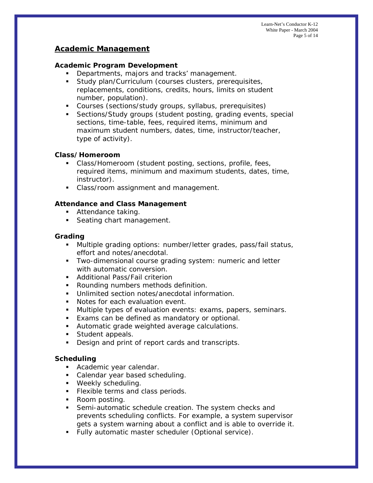Learn-Net's Conductor K-12 White Paper - March 2004 Page 5 of 14

# **Academic Management**

#### **Academic Program Development**

- Departments, majors and tracks' management.
- **Study plan/Curriculum (courses clusters, prerequisites,** replacements, conditions, credits, hours, limits on student number, population).
- Courses (sections/study groups, syllabus, prerequisites)
- Sections/Study groups (student posting, grading events, special sections, time-table, fees, required items, minimum and maximum student numbers, dates, time, instructor/teacher, type of activity).

#### **Class/Homeroom**

- Class/Homeroom (student posting, sections, profile, fees, required items, minimum and maximum students, dates, time, instructor).
- Class/room assignment and management.

## **Attendance and Class Management**

- **Attendance taking.**
- Seating chart management.

#### **Grading**

- Multiple grading options: number/letter grades, pass/fail status, effort and notes/anecdotal.
- **Two-dimensional course grading system: numeric and letter** with automatic conversion.
- **-** Additional Pass/Fail criterion
- **Rounding numbers methods definition.**
- **Unlimited section notes/anecdotal information.**
- **Notes for each evaluation event.**
- **Multiple types of evaluation events: exams, papers, seminars.**
- **Exams can be defined as mandatory or optional.**
- Automatic grade weighted average calculations.
- Student appeals.
- Design and print of report cards and transcripts.

#### **Scheduling**

- **Academic year calendar.**
- Calendar year based scheduling.
- **Weekly scheduling.**
- **Flexible terms and class periods.**
- Room posting.
- Semi-automatic schedule creation. The system checks and prevents scheduling conflicts. For example, a system supervisor gets a system warning about a conflict and is able to override it.
- Fully automatic master scheduler (Optional service).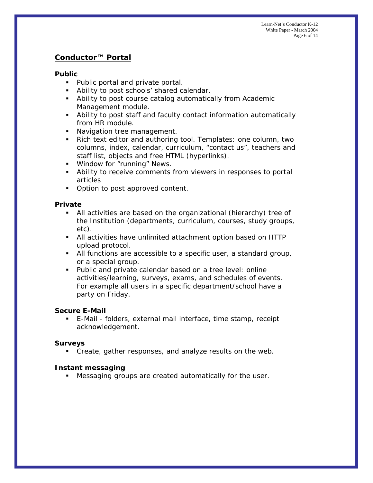# **Conductor™ Portal**

# **Public**

- Public portal and private portal.
- **Ability to post schools' shared calendar.**
- Ability to post course catalog automatically from Academic Management module.
- Ability to post staff and faculty contact information automatically from HR module.
- Navigation tree management.
- Rich text editor and authoring tool. Templates: one column, two columns, index, calendar, curriculum, "contact us", teachers and staff list, objects and free HTML (hyperlinks).
- **Window for "running" News.**
- Ability to receive comments from viewers in responses to portal articles
- Option to post approved content.

## **Private**

- All activities are based on the organizational (hierarchy) tree of the Institution (departments, curriculum, courses, study groups, etc).
- All activities have unlimited attachment option based on HTTP upload protocol.
- All functions are accessible to a specific user, a standard group, or a special group.
- Public and private calendar based on a tree level: online activities/learning, surveys, exams, and schedules of events. For example all users in a specific department/school have a party on Friday.

## **Secure E-Mail**

 E-Mail - folders, external mail interface, time stamp, receipt acknowledgement.

## **Surveys**

Create, gather responses, and analyze results on the web.

## **Instant messaging**

Messaging groups are created automatically for the user.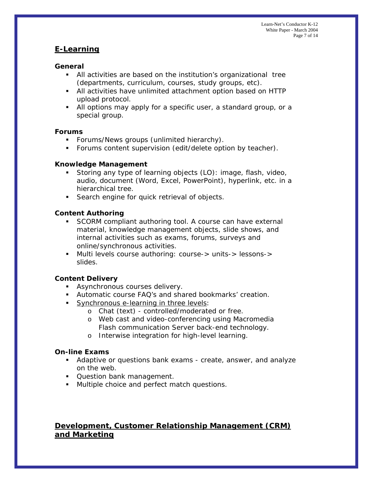# **E-Learning**

# **General**

- All activities are based on the institution's organizational tree (departments, curriculum, courses, study groups, etc).
- All activities have unlimited attachment option based on HTTP upload protocol.
- All options may apply for a specific user, a standard group, or a special group.

## **Forums**

- **Forums/News groups (unlimited hierarchy).**
- **Forums content supervision (edit/delete option by teacher).**

## **Knowledge Management**

- Storing any type of learning objects (LO): image, flash, video, audio, document (Word, Excel, PowerPoint), hyperlink, etc. in a hierarchical tree.
- **Search engine for quick retrieval of objects.**

# **Content Authoring**

- SCORM compliant authoring tool. A course can have external material, knowledge management objects, slide shows, and internal activities such as exams, forums, surveys and online/synchronous activities.
- Multi levels course authoring: course-> units-> lessons-> slides.

# **Content Delivery**

- **Asynchronous courses delivery.**
- Automatic course FAQ's and shared bookmarks' creation.
- **Synchronous e-learning in three levels:** 
	- o Chat (text) controlled/moderated or free.
	- o Web cast and video-conferencing using Macromedia Flash communication Server back-end technology.
	- o Interwise integration for high-level learning.

## **On-line Exams**

- Adaptive or questions bank exams create, answer, and analyze on the web.
- **Question bank management.**
- **Multiple choice and perfect match questions.**

# **Development, Customer Relationship Management (CRM) and Marketing**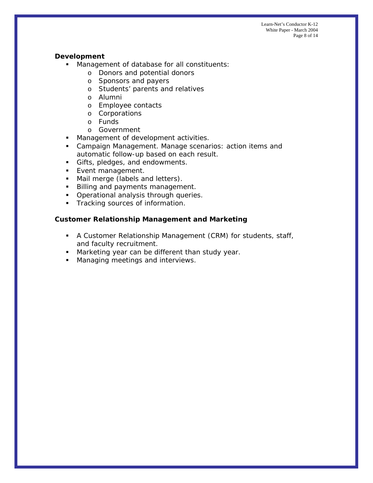Learn-Net's Conductor K-12 White Paper - March 2004 Page 8 of 14

#### **Development**

- **Management of database for all constituents:** 
	- o Donors and potential donors
	- o Sponsors and payers
	- o Students' parents and relatives
	- o Alumni
	- o Employee contacts
	- o Corporations
	- o Funds
	- o Government
- **Management of development activities.**
- Campaign Management. Manage scenarios: action items and automatic follow-up based on each result.
- Gifts, pledges, and endowments.
- **Event management.**
- Mail merge (labels and letters).
- **Billing and payments management.**
- **•** Operational analysis through queries.
- **Tracking sources of information.**

#### **Customer Relationship Management and Marketing**

- A Customer Relationship Management (CRM) for students, staff, and faculty recruitment.
- **Marketing year can be different than study year.**
- **Managing meetings and interviews.**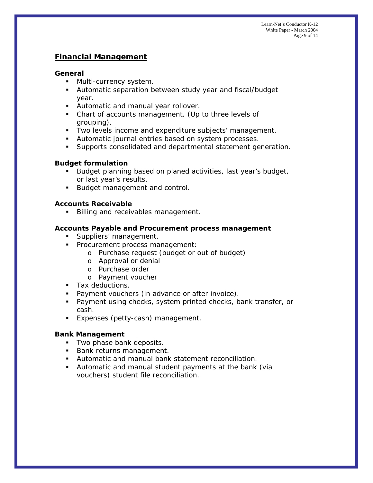# **Financial Management**

#### **General**

- **Multi-currency system.**
- Automatic separation between study year and fiscal/budget year.
- Automatic and manual year rollover.
- Chart of accounts management. (Up to three levels of grouping).
- **Two levels income and expenditure subjects' management.**
- Automatic journal entries based on system processes.
- Supports consolidated and departmental statement generation.

## **Budget formulation**

- Budget planning based on planed activities, last year's budget, or last year's results.
- Budget management and control.

## **Accounts Receivable**

**Billing and receivables management.** 

# **Accounts Payable and Procurement process management**

- **Suppliers' management.**
- **Procurement process management:** 
	- o Purchase request (budget or out of budget)
	- o Approval or denial
	- o Purchase order
	- o Payment voucher
- **Tax deductions.**
- **Payment vouchers (in advance or after invoice).**
- **Payment using checks, system printed checks, bank transfer, or** cash.
- **Expenses (petty-cash) management.**

## **Bank Management**

- **Two phase bank deposits.**
- Bank returns management.
- Automatic and manual bank statement reconciliation.
- Automatic and manual student payments at the bank (via vouchers) student file reconciliation.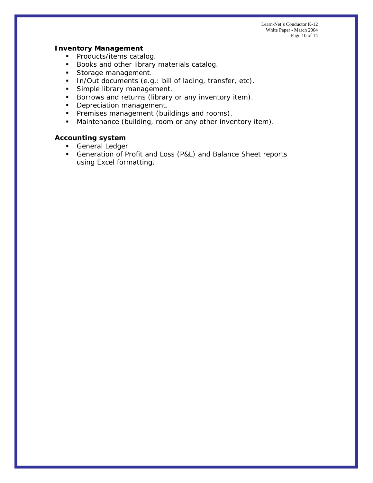Learn-Net's Conductor K-12 White Paper - March 2004 Page 10 of 14

#### **Inventory Management**

- Products/items catalog.
- Books and other library materials catalog.
- Storage management.
- In/Out documents (e.g.: bill of lading, transfer, etc).
- Simple library management.
- **Borrows and returns (library or any inventory item).**
- Depreciation management.
- **Premises management (buildings and rooms).**
- **Maintenance (building, room or any other inventory item).**

# **Accounting system**

- **General Ledger**
- Generation of Profit and Loss (P&L) and Balance Sheet reports using Excel formatting.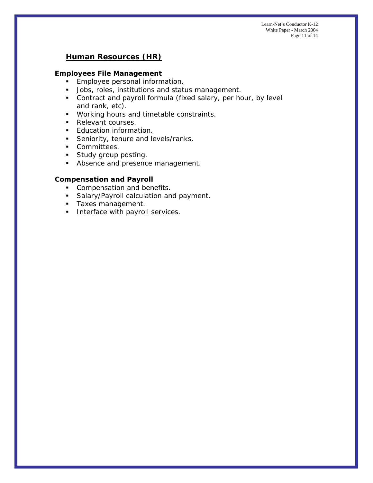Learn-Net's Conductor K-12 White Paper - March 2004 Page 11 of 14

# **Human Resources (HR)**

## **Employees File Management**

- **Employee personal information.**
- **Jobs, roles, institutions and status management.**
- Contract and payroll formula (fixed salary, per hour, by level and rank, etc).
- **Working hours and timetable constraints.**
- Relevant courses.
- **Education information.**
- Seniority, tenure and levels/ranks.
- **Committees.**
- **Study group posting.**
- **Absence and presence management.**

#### **Compensation and Payroll**

- Compensation and benefits.
- **Salary/Payroll calculation and payment.**
- **Taxes management.**
- **Interface with payroll services.**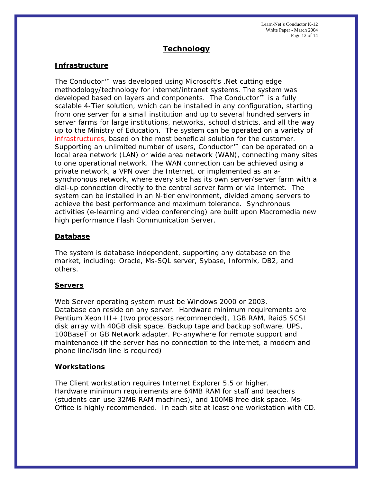Learn-Net's Conductor K-12 White Paper - March 2004 Page 12 of 14

# **Technology**

#### **Infrastructure**

The Conductor™ was developed using Microsoft's *.Net* cutting edge methodology/technology for internet/intranet systems. The system was developed based on layers and components. The Conductor™ is a fully scalable 4-Tier solution, which can be installed in any configuration, starting from one server for a small institution and up to several hundred servers in server farms for large institutions, networks, school districts, and all the way up to the Ministry of Education. The system can be operated on a variety of infrastructures, based on the most beneficial solution for the customer. Supporting an unlimited number of users, Conductor™ can be operated on a local area network (LAN) or wide area network (WAN), connecting many sites to one operational network. The WAN connection can be achieved using a private network, a VPN over the Internet, or implemented as an asynchronous network, where every site has its own server/server farm with a dial-up connection directly to the central server farm or via Internet. The system can be installed in an N-tier environment, divided among servers to achieve the best performance and maximum tolerance. Synchronous activities (e-learning and video conferencing) are built upon Macromedia new high performance Flash Communication Server.

#### **Database**

The system is database independent, supporting any database on the market, including: Oracle, Ms-SQL server, Sybase, Informix, DB2, and others.

#### **Servers**

Web Server operating system must be Windows 2000 or 2003. Database can reside on any server. Hardware minimum requirements are Pentium Xeon III+ (two processors recommended), 1GB RAM, Raid5 SCSI disk array with 40GB disk space, Backup tape and backup software, UPS, 100BaseT or GB Network adapter. Pc-anywhere for remote support and maintenance (if the server has no connection to the internet, a modem and phone line/isdn line is required)

## **Workstations**

The Client workstation requires Internet Explorer 5.5 or higher. Hardware minimum requirements are 64MB RAM for staff and teachers (students can use 32MB RAM machines), and 100MB free disk space. Ms-Office is highly recommended. In each site at least one workstation with CD.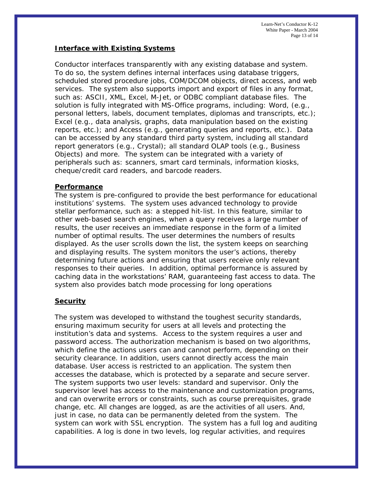Learn-Net's Conductor K-12 White Paper - March 2004 Page 13 of 14

#### **Interface with Existing Systems**

Conductor interfaces transparently with any existing database and system. To do so, the system defines internal interfaces using database triggers, scheduled stored procedure jobs, COM/DCOM objects, direct access, and web services. The system also supports import and export of files in any format, such as: ASCII, XML, Excel, M-Jet, or ODBC compliant database files. The solution is fully integrated with MS-Office programs, including: Word, (e.g., personal letters, labels, document templates, diplomas and transcripts, etc.); Excel (e.g., data analysis, graphs, data manipulation based on the existing reports, etc.); and Access (e.g., generating queries and reports, etc.). Data can be accessed by any standard third party system, including all standard report generators (e.g., Crystal); all standard OLAP tools (e.g., Business Objects) and more. The system can be integrated with a variety of peripherals such as: scanners, smart card terminals, information kiosks, cheque/credit card readers, and barcode readers.

#### **Performance**

The system is pre-configured to provide the best performance for educational institutions' systems. The system uses advanced technology to provide stellar performance, such as: a stepped hit-list. In this feature, similar to other web-based search engines, when a query receives a large number of results, the user receives an immediate response in the form of a limited number of optimal results. The user determines the numbers of results displayed. As the user scrolls down the list, the system keeps on searching and displaying results. The system monitors the user's actions, thereby determining future actions and ensuring that users receive only relevant responses to their queries. In addition, optimal performance is assured by caching data in the workstations' RAM, guaranteeing fast access to data. The system also provides batch mode processing for long operations

## **Security**

The system was developed to withstand the toughest security standards, ensuring maximum security for users at all levels and protecting the institution's data and systems. Access to the system requires a user and password access. The authorization mechanism is based on two algorithms, which define the actions users can and cannot perform, depending on their security clearance. In addition, users cannot directly access the main database. User access is restricted to an application. The system then accesses the database, which is protected by a separate and secure server. The system supports two user levels: standard and supervisor. Only the supervisor level has access to the maintenance and customization programs, and can overwrite errors or constraints, such as course prerequisites, grade change, etc. All changes are logged, as are the activities of all users. And, just in case, no data can be permanently deleted from the system. The system can work with SSL encryption. The system has a full log and auditing capabilities. A log is done in two levels, log regular activities, and requires